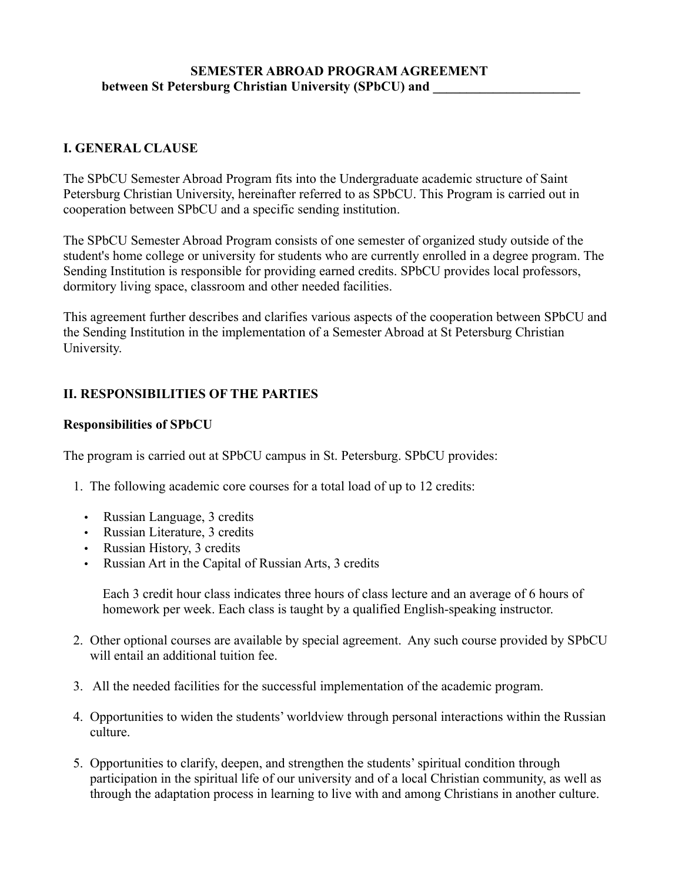#### **SEMESTER ABROAD PROGRAM AGREEMENT between St Petersburg Christian University (SPbCU) and**

#### **I. GENERAL CLAUSE**

The SPbCU Semester Abroad Program fits into the Undergraduate academic structure of Saint Petersburg Christian University, hereinafter referred to as SPbCU. This Program is carried out in cooperation between SPbCU and a specific sending institution.

The SPbCU Semester Abroad Program consists of one semester of organized study outside of the student's home college or university for students who are currently enrolled in a degree program. The Sending Institution is responsible for providing earned credits. SPbCU provides local professors, dormitory living space, classroom and other needed facilities.

This agreement further describes and clarifies various aspects of the cooperation between SPbCU and the Sending Institution in the implementation of a Semester Abroad at St Petersburg Christian University.

#### **II. RESPONSIBILITIES OF THE PARTIES**

#### **Responsibilities of SPbCU**

The program is carried out at SPbCU campus in St. Petersburg. SPbCU provides:

- 1. The following academic core courses for a total load of up to 12 credits:
	- Russian Language, 3 credits
	- Russian Literature, 3 credits
	- Russian History, 3 credits
	- Russian Art in the Capital of Russian Arts, 3 credits

Each 3 credit hour class indicates three hours of class lecture and an average of 6 hours of homework per week. Each class is taught by a qualified English-speaking instructor.

- 2. Other optional courses are available by special agreement. Any such course provided by SPbCU will entail an additional tuition fee.
- 3. All the needed facilities for the successful implementation of the academic program.
- 4. Opportunities to widen the students' worldview through personal interactions within the Russian culture.
- 5. Opportunities to clarify, deepen, and strengthen the students' spiritual condition through participation in the spiritual life of our university and of a local Christian community, as well as through the adaptation process in learning to live with and among Christians in another culture.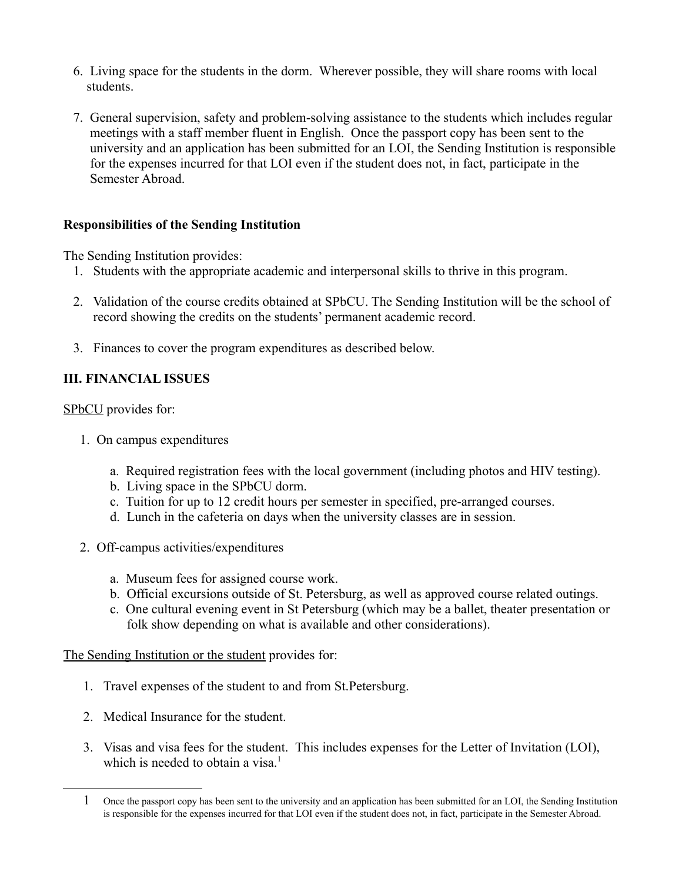- 6. Living space for the students in the dorm. Wherever possible, they will share rooms with local students.
- 7. General supervision, safety and problem-solving assistance to the students which includes regular meetings with a staff member fluent in English. Once the passport copy has been sent to the university and an application has been submitted for an LOI, the Sending Institution is responsible for the expenses incurred for that LOI even if the student does not, in fact, participate in the Semester Abroad.

## **Responsibilities of the Sending Institution**

The Sending Institution provides:

- 1. Students with the appropriate academic and interpersonal skills to thrive in this program.
- 2. Validation of the course credits obtained at SPbCU. The Sending Institution will be the school of record showing the credits on the students' permanent academic record.
- 3. Finances to cover the program expenditures as described below.

# **III. FINANCIAL ISSUES**

SP<sub>bCU</sub> provides for:

- 1. On campus expenditures
	- a. Required registration fees with the local government (including photos and HIV testing).
	- b. Living space in the SPbCU dorm.
	- c. Tuition for up to 12 credit hours per semester in specified, pre-arranged courses.
	- d. Lunch in the cafeteria on days when the university classes are in session.
- 2. Off-campus activities/expenditures
	- a. Museum fees for assigned course work.
	- b. Official excursions outside of St. Petersburg, as well as approved course related outings.
	- c. One cultural evening event in St Petersburg (which may be a ballet, theater presentation or folk show depending on what is available and other considerations).

The Sending Institution or the student provides for:

- 1. Travel expenses of the student to and from St.Petersburg.
- 2. Medical Insurance for the student.
- 3. Visas and visa fees for the student. This includes expenses for the Letter of Invitation (LOI), which is needed to obtain a visa.<sup>[1](#page-1-0)</sup>

<span id="page-1-0"></span><sup>1</sup> Once the passport copy has been sent to the university and an application has been submitted for an LOI, the Sending Institution is responsible for the expenses incurred for that LOI even if the student does not, in fact, participate in the Semester Abroad.